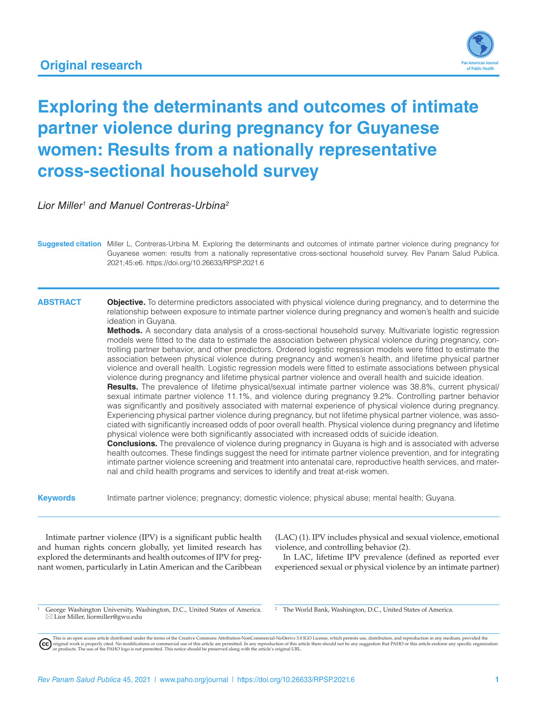

# **Exploring the determinants and outcomes of intimate partner violence during pregnancy for Guyanese women: Results from a nationally representative cross-sectional household survey**

*Lior Miller1 and Manuel Contreras-Urbina2*

**Suggested citation** Miller L, Contreras-Urbina M. Exploring the determinants and outcomes of intimate partner violence during pregnancy for Guyanese women: results from a nationally representative cross-sectional household survey. Rev Panam Salud Publica. 2021;45:e6. <https://doi.org/10.26633/RPSP.2021.6>

**ABSTRACT Objective.** To determine predictors associated with physical violence during pregnancy, and to determine the relationship between exposure to intimate partner violence during pregnancy and women's health and suicide ideation in Guyana.

> **Methods.** A secondary data analysis of a cross-sectional household survey. Multivariate logistic regression models were fitted to the data to estimate the association between physical violence during pregnancy, controlling partner behavior, and other predictors. Ordered logistic regression models were fitted to estimate the association between physical violence during pregnancy and women's health, and lifetime physical partner violence and overall health. Logistic regression models were fitted to estimate associations between physical violence during pregnancy and lifetime physical partner violence and overall health and suicide ideation.

> **Results.** The prevalence of lifetime physical/sexual intimate partner violence was 38.8%, current physical/ sexual intimate partner violence 11.1%, and violence during pregnancy 9.2%. Controlling partner behavior was significantly and positively associated with maternal experience of physical violence during pregnancy. Experiencing physical partner violence during pregnancy, but not lifetime physical partner violence, was associated with significantly increased odds of poor overall health. Physical violence during pregnancy and lifetime physical violence were both significantly associated with increased odds of suicide ideation.

> **Conclusions.** The prevalence of violence during pregnancy in Guyana is high and is associated with adverse health outcomes. These findings suggest the need for intimate partner violence prevention, and for integrating intimate partner violence screening and treatment into antenatal care, reproductive health services, and maternal and child health programs and services to identify and treat at-risk women.

**Keywords** Intimate partner violence; pregnancy; domestic violence; physical abuse; mental health; Guyana.

Intimate partner violence (IPV) is a significant public health and human rights concern globally, yet limited research has explored the determinants and health outcomes of IPV for pregnant women, particularly in Latin American and the Caribbean (LAC) (1). IPV includes physical and sexual violence, emotional violence, and controlling behavior (2).

In LAC, lifetime IPV prevalence (defined as reported ever experienced sexual or physical violence by an intimate partner)

George Washington University, Washington, D.C., United States of America.  $\boxtimes$  Lior Miller, liormiller@gwu.edu

The World Bank, Washington, D.C., United States of America.

This is an open access article distributed under the terms of the [Creative Commons Attribution-NonCommercial-NoDerivs 3.0 IGO](https://creativecommons.org/licenses/by-nc-nd/3.0/igo/legalcode) License, which permits use, distribution, and reproduction in any medium, provided the<br>orignal w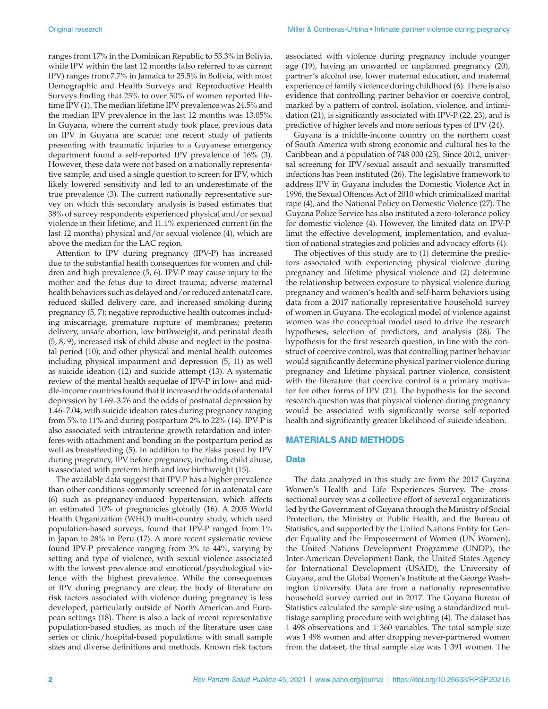ranges from 17% in the Dominican Republic to 53.3% in Bolivia, while IPV within the last 12 months (also referred to as current IPV) ranges from 7.7% in Jamaica to 25.5% in Bolivia, with most Demographic and Health Surveys and Reproductive Health Surveys finding that 25% to over 50% of women reported lifetime IPV (1). The median lifetime IPV prevalence was 24.5% and the median IPV prevalence in the last 12 months was 13.05%. In Guyana, where the current study took place, previous data on IPV in Guyana are scarce; one recent study of patients presenting with traumatic injuries to a Guyanese emergency department found a self-reported IPV prevalence of 16% (3). However, these data were not based on a nationally representative sample, and used a single question to screen for IPV, which likely lowered sensitivity and led to an underestimate of the true prevalence (3). The current nationally representative survey on which this secondary analysis is based estimates that 38% of survey respondents experienced physical and/or sexual violence in their lifetime, and 11.1% experienced current (in the last 12 months) physical and/or sexual violence (4), which are above the median for the LAC region.

Attention to IPV during pregnancy (IPV-P) has increased due to the substantial health consequences for women and children and high prevalence (5, 6). IPV-P may cause injury to the mother and the fetus due to direct trauma; adverse maternal health behaviors such as delayed and/or reduced antenatal care, reduced skilled delivery care, and increased smoking during pregnancy (5, 7); negative reproductive health outcomes including miscarriage, premature rupture of membranes; preterm delivery, unsafe abortion, low birthweight, and perinatal death (5, 8, 9); increased risk of child abuse and neglect in the postnatal period (10); and other physical and mental health outcomes including physical impairment and depression (5, 11) as well as suicide ideation (12) and suicide attempt (13). A systematic review of the mental health sequelae of IPV-P in low- and middle-income countries found that it increased the odds of antenatal depression by 1.69–3.76 and the odds of postnatal depression by 1.46–7.04, with suicide ideation rates during pregnancy ranging from 5% to 11% and during postpartum 2% to 22% (14). IPV-P is also associated with intrauterine growth retardation and interferes with attachment and bonding in the postpartum period as well as breastfeeding (5). In addition to the risks posed by IPV during pregnancy, IPV before pregnancy, including child abuse, is associated with preterm birth and low birthweight (15).

The available data suggest that IPV-P has a higher prevalence than other conditions commonly screened for in antenatal care (6) such as pregnancy-induced hypertension, which affects an estimated 10% of pregnancies globally (16). A 2005 World Health Organization (WHO) multi-country study, which used population-based surveys, found that IPV-P ranged from 1% in Japan to 28% in Peru (17). A more recent systematic review found IPV-P prevalence ranging from 3% to 44%, varying by setting and type of violence, with sexual violence associated with the lowest prevalence and emotional/psychological violence with the highest prevalence. While the consequences of IPV during pregnancy are clear, the body of literature on risk factors associated with violence during pregnancy is less developed, particularly outside of North American and European settings (18). There is also a lack of recent representative population-based studies, as much of the literature uses case series or clinic/hospital-based populations with small sample sizes and diverse definitions and methods. Known risk factors

associated with violence during pregnancy include younger age (19), having an unwanted or unplanned pregnancy (20), partner's alcohol use, lower maternal education, and maternal experience of family violence during childhood (6). There is also evidence that controlling partner behavior or coercive control, marked by a pattern of control, isolation, violence, and intimidation (21), is significantly associated with IPV-P (22, 23), and is predictive of higher levels and more serious types of IPV (24).

Guyana is a middle-income country on the northern coast of South America with strong economic and cultural ties to the Caribbean and a population of 748 000 (25). Since 2012, universal screening for IPV/sexual assault and sexually transmitted infections has been instituted (26). The legislative framework to address IPV in Guyana includes the Domestic Violence Act in 1996, the Sexual Offences Act of 2010 which criminalized marital rape (4), and the National Policy on Domestic Violence (27). The Guyana Police Service has also instituted a zero-tolerance policy for domestic violence (4). However, the limited data on IPV-P limit the effective development, implementation, and evaluation of national strategies and policies and advocacy efforts (4).

The objectives of this study are to (1) determine the predictors associated with experiencing physical violence during pregnancy and lifetime physical violence and (2) determine the relationship between exposure to physical violence during pregnancy and women's health and self-harm behaviors using data from a 2017 nationally representative household survey of women in Guyana. The ecological model of violence against women was the conceptual model used to drive the research hypotheses, selection of predictors, and analysis (28). The hypothesis for the first research question, in line with the construct of coercive control, was that controlling partner behavior would significantly determine physical partner violence during pregnancy and lifetime physical partner violence, consistent with the literature that coercive control is a primary motivator for other forms of IPV (21). The hypothesis for the second research question was that physical violence during pregnancy would be associated with significantly worse self-reported health and significantly greater likelihood of suicide ideation.

### **MATERIALS AND METHODS**

#### **Data**

The data analyzed in this study are from the 2017 Guyana Women's Health and Life Experiences Survey. The crosssectional survey was a collective effort of several organizations led by the Government of Guyana through the Ministry of Social Protection, the Ministry of Public Health, and the Bureau of Statistics, and supported by the United Nations Entity for Gender Equality and the Empowerment of Women (UN Women), the United Nations Development Programme (UNDP), the Inter-American Development Bank, the United States Agency for International Development (USAID), the University of Guyana, and the Global Women's Institute at the George Washington University. Data are from a nationally representative household survey carried out in 2017. The Guyana Bureau of Statistics calculated the sample size using a standardized multistage sampling procedure with weighting (4). The dataset has 1 498 observations and 1 360 variables. The total sample size was 1 498 women and after dropping never-partnered women from the dataset, the final sample size was 1 391 women. The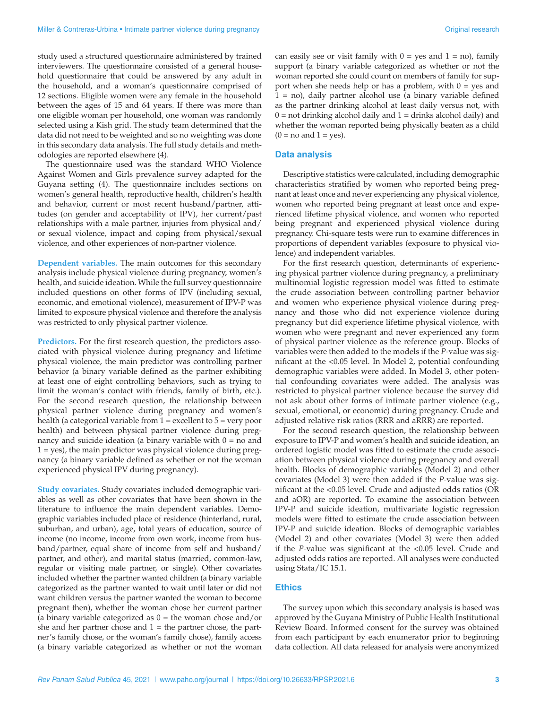study used a structured questionnaire administered by trained interviewers. The questionnaire consisted of a general household questionnaire that could be answered by any adult in the household, and a woman's questionnaire comprised of 12 sections. Eligible women were any female in the household between the ages of 15 and 64 years. If there was more than one eligible woman per household, one woman was randomly selected using a Kish grid. The study team determined that the data did not need to be weighted and so no weighting was done in this secondary data analysis. The full study details and methodologies are reported elsewhere (4).

The questionnaire used was the standard WHO Violence Against Women and Girls prevalence survey adapted for the Guyana setting (4). The questionnaire includes sections on women's general health, reproductive health, children's health and behavior, current or most recent husband/partner, attitudes (on gender and acceptability of IPV), her current/past relationships with a male partner, injuries from physical and/ or sexual violence, impact and coping from physical/sexual violence, and other experiences of non-partner violence.

**Dependent variables.** The main outcomes for this secondary analysis include physical violence during pregnancy, women's health, and suicide ideation. While the full survey questionnaire included questions on other forms of IPV (including sexual, economic, and emotional violence), measurement of IPV-P was limited to exposure physical violence and therefore the analysis was restricted to only physical partner violence.

**Predictors.** For the first research question, the predictors associated with physical violence during pregnancy and lifetime physical violence, the main predictor was controlling partner behavior (a binary variable defined as the partner exhibiting at least one of eight controlling behaviors, such as trying to limit the woman's contact with friends, family of birth, etc.). For the second research question, the relationship between physical partner violence during pregnancy and women's health (a categorical variable from  $1 =$  excellent to  $5 =$  very poor health) and between physical partner violence during pregnancy and suicide ideation (a binary variable with  $0 =$  no and 1 = yes), the main predictor was physical violence during pregnancy (a binary variable defined as whether or not the woman experienced physical IPV during pregnancy).

**Study covariates.** Study covariates included demographic variables as well as other covariates that have been shown in the literature to influence the main dependent variables. Demographic variables included place of residence (hinterland, rural, suburban, and urban), age, total years of education, source of income (no income, income from own work, income from husband/partner, equal share of income from self and husband/ partner, and other), and marital status (married, common-law, regular or visiting male partner, or single). Other covariates included whether the partner wanted children (a binary variable categorized as the partner wanted to wait until later or did not want children versus the partner wanted the woman to become pregnant then), whether the woman chose her current partner (a binary variable categorized as  $0 =$  the woman chose and/or she and her partner chose and  $1 =$  the partner chose, the partner's family chose, or the woman's family chose), family access (a binary variable categorized as whether or not the woman

can easily see or visit family with  $0 = yes$  and  $1 = no$ ), family support (a binary variable categorized as whether or not the woman reported she could count on members of family for support when she needs help or has a problem, with 0 = yes and 1 = no), daily partner alcohol use (a binary variable defined as the partner drinking alcohol at least daily versus not, with  $0 =$  not drinking alcohol daily and  $1 =$  drinks alcohol daily) and whether the woman reported being physically beaten as a child  $(0 = no$  and  $1 = yes)$ .

#### **Data analysis**

Descriptive statistics were calculated, including demographic characteristics stratified by women who reported being pregnant at least once and never experiencing any physical violence, women who reported being pregnant at least once and experienced lifetime physical violence, and women who reported being pregnant and experienced physical violence during pregnancy. Chi-square tests were run to examine differences in proportions of dependent variables (exposure to physical violence) and independent variables.

For the first research question, determinants of experiencing physical partner violence during pregnancy, a preliminary multinomial logistic regression model was fitted to estimate the crude association between controlling partner behavior and women who experience physical violence during pregnancy and those who did not experience violence during pregnancy but did experience lifetime physical violence, with women who were pregnant and never experienced any form of physical partner violence as the reference group. Blocks of variables were then added to the models if the *P-*value was significant at the <0.05 level. In Model 2, potential confounding demographic variables were added. In Model 3, other potential confounding covariates were added. The analysis was restricted to physical partner violence because the survey did not ask about other forms of intimate partner violence (e.g., sexual, emotional, or economic) during pregnancy. Crude and adjusted relative risk ratios (RRR and aRRR) are reported.

For the second research question, the relationship between exposure to IPV-P and women's health and suicide ideation, an ordered logistic model was fitted to estimate the crude association between physical violence during pregnancy and overall health. Blocks of demographic variables (Model 2) and other covariates (Model 3) were then added if the *P-*value was significant at the <0.05 level. Crude and adjusted odds ratios (OR and aOR) are reported. To examine the association between IPV-P and suicide ideation, multivariate logistic regression models were fitted to estimate the crude association between IPV-P and suicide ideation. Blocks of demographic variables (Model 2) and other covariates (Model 3) were then added if the *P-*value was significant at the <0.05 level. Crude and adjusted odds ratios are reported. All analyses were conducted using Stata/IC 15.1.

#### **Ethics**

The survey upon which this secondary analysis is based was approved by the Guyana Ministry of Public Health Institutional Review Board. Informed consent for the survey was obtained from each participant by each enumerator prior to beginning data collection. All data released for analysis were anonymized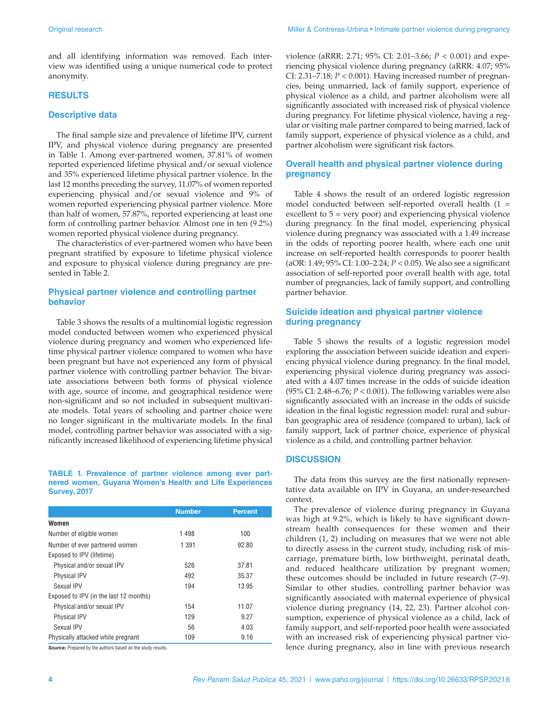and all identifying information was removed. Each interview was identified using a unique numerical code to protect anonymity.

#### **RESULTS**

#### **Descriptive data**

The final sample size and prevalence of lifetime IPV, current IPV, and physical violence during pregnancy are presented in Table 1. Among ever-partnered women, 37.81% of women reported experienced lifetime physical and/or sexual violence and 35% experienced lifetime physical partner violence. In the last 12 months preceding the survey, 11.07% of women reported experiencing physical and/or sexual violence and 9% of women reported experiencing physical partner violence. More than half of women, 57.87%, reported experiencing at least one form of controlling partner behavior. Almost one in ten (9.2%) women reported physical violence during pregnancy.

The characteristics of ever-partnered women who have been pregnant stratified by exposure to lifetime physical violence and exposure to physical violence during pregnancy are presented in Table 2.

#### **Physical partner violence and controlling partner behavior**

Table 3 shows the results of a multinomial logistic regression model conducted between women who experienced physical violence during pregnancy and women who experienced lifetime physical partner violence compared to women who have been pregnant but have not experienced any form of physical partner violence with controlling partner behavior. The bivariate associations between both forms of physical violence with age, source of income, and geographical residence were non-significant and so not included in subsequent multivariate models. Total years of schooling and partner choice were no longer significant in the multivariate models. In the final model, controlling partner behavior was associated with a significantly increased likelihood of experiencing lifetime physical

#### **TABLE 1. Prevalence of partner violence among ever partnered women, Guyana Women's Health and Life Experiences Survey, 2017**

|                                        | <b>Number</b> | <b>Percent</b> |
|----------------------------------------|---------------|----------------|
| Women                                  |               |                |
| Number of eligible women               | 1498          | 100            |
| Number of ever partnered women         | 1 3 9 1       | 92.80          |
| Exposed to IPV (lifetime)              |               |                |
| Physical and/or sexual IPV             | 526           | 37.81          |
| <b>Physical IPV</b>                    | 492           | 35.37          |
| Sexual IPV                             | 194           | 13.95          |
| Exposed to IPV (in the last 12 months) |               |                |
| Physical and/or sexual IPV             | 154           | 11.07          |
| <b>Physical IPV</b>                    | 129           | 9.27           |
| Sexual IPV                             | 56            | 4.03           |
| Physically attacked while pregnant     | 109           | 9.16           |

*Source:* Prepared by the authors based on the study results.

violence (aRRR: 2.71; 95% CI: 2.01–3.66; *P* < 0.001) and experiencing physical violence during pregnancy (aRRR: 4.07; 95% CI:  $2.31 - 7.18$ ;  $P < 0.001$ ). Having increased number of pregnancies, being unmarried, lack of family support, experience of physical violence as a child, and partner alcoholism were all significantly associated with increased risk of physical violence during pregnancy. For lifetime physical violence, having a regular or visiting male partner compared to being married, lack of family support, experience of physical violence as a child, and partner alcoholism were significant risk factors.

### **Overall health and physical partner violence during pregnancy**

Table 4 shows the result of an ordered logistic regression model conducted between self-reported overall health (1 = excellent to 5 = very poor) and experiencing physical violence during pregnancy. In the final model, experiencing physical violence during pregnancy was associated with a 1.49 increase in the odds of reporting poorer health, where each one unit increase on self-reported health corresponds to poorer health (aOR: 1.49; 95% CI: 1.00–2.24; *P* < 0.05). We also see a significant association of self-reported poor overall health with age, total number of pregnancies, lack of family support, and controlling partner behavior.

### **Suicide ideation and physical partner violence during pregnancy**

Table 5 shows the results of a logistic regression model exploring the association between suicide ideation and experiencing physical violence during pregnancy. In the final model, experiencing physical violence during pregnancy was associated with a 4.07 times increase in the odds of suicide ideation (95% CI: 2.48–6.76; *P* < 0.001). The following variables were also significantly associated with an increase in the odds of suicide ideation in the final logistic regression model: rural and suburban geographic area of residence (compared to urban), lack of family support, lack of partner choice, experience of physical violence as a child, and controlling partner behavior.

### **DISCUSSION**

The data from this survey are the first nationally representative data available on IPV in Guyana, an under-researched context.

The prevalence of violence during pregnancy in Guyana was high at 9.2%, which is likely to have significant downstream health consequences for these women and their children (1, 2) including on measures that we were not able to directly assess in the current study, including risk of miscarriage, premature birth, low birthweight, perinatal death, and reduced healthcare utilization by pregnant women; these outcomes should be included in future research (7–9). Similar to other studies, controlling partner behavior was significantly associated with maternal experience of physical violence during pregnancy (14, 22, 23). Partner alcohol consumption, experience of physical violence as a child, lack of family support, and self-reported poor health were associated with an increased risk of experiencing physical partner violence during pregnancy, also in line with previous research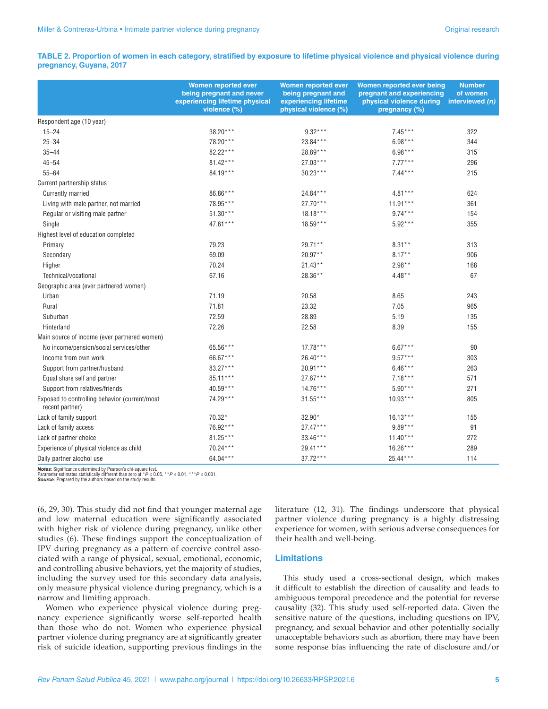#### **TABLE 2. Proportion of women in each category, stratified by exposure to lifetime physical violence and physical violence during pregnancy, Guyana, 2017**

|                                                                  | <b>Women reported ever</b><br>being pregnant and never<br>experiencing lifetime physical<br>violence (%) | <b>Women reported ever</b><br>being pregnant and<br>experiencing lifetime<br>physical violence (%) | Women reported ever being<br>pregnant and experiencing<br>physical violence during interviewed (n)<br>pregnancy (%) | <b>Number</b><br>of women |
|------------------------------------------------------------------|----------------------------------------------------------------------------------------------------------|----------------------------------------------------------------------------------------------------|---------------------------------------------------------------------------------------------------------------------|---------------------------|
| Respondent age (10 year)                                         |                                                                                                          |                                                                                                    |                                                                                                                     |                           |
| $15 - 24$                                                        | 38.20***                                                                                                 | $9.32***$                                                                                          | $7.45***$                                                                                                           | 322                       |
| $25 - 34$                                                        | 78.20***                                                                                                 | 23.84***                                                                                           | $6.98***$                                                                                                           | 344                       |
| $35 - 44$                                                        | 82.22***                                                                                                 | 28.89***                                                                                           | $6.98***$                                                                                                           | 315                       |
| $45 - 54$                                                        | 81.42***                                                                                                 | $27.03***$                                                                                         | $7.77***$                                                                                                           | 296                       |
| $55 - 64$                                                        | 84.19***                                                                                                 | $30.23***$                                                                                         | $7.44***$                                                                                                           | 215                       |
| Current partnership status                                       |                                                                                                          |                                                                                                    |                                                                                                                     |                           |
| <b>Currently married</b>                                         | 86.86***                                                                                                 | 24.84***                                                                                           | $4.81***$                                                                                                           | 624                       |
| Living with male partner, not married                            | 78.95***                                                                                                 | $27.70***$                                                                                         | $11.91***$                                                                                                          | 361                       |
| Regular or visiting male partner                                 | $51.30***$                                                                                               | $18.18***$                                                                                         | $9.74***$                                                                                                           | 154                       |
| Single                                                           | $47.61***$                                                                                               | $18.59***$                                                                                         | $5.92***$                                                                                                           | 355                       |
| Highest level of education completed                             |                                                                                                          |                                                                                                    |                                                                                                                     |                           |
| Primary                                                          | 79.23                                                                                                    | $29.71**$                                                                                          | $8.31**$                                                                                                            | 313                       |
| Secondary                                                        | 69.09                                                                                                    | $20.97**$                                                                                          | $8.17***$                                                                                                           | 906                       |
| Higher                                                           | 70.24                                                                                                    | $21.43**$                                                                                          | $2.98**$                                                                                                            | 168                       |
| Technical/vocational                                             | 67.16                                                                                                    | 28.36**                                                                                            | $4.48**$                                                                                                            | 67                        |
| Geographic area (ever partnered women)                           |                                                                                                          |                                                                                                    |                                                                                                                     |                           |
| Urban                                                            | 71.19                                                                                                    | 20.58                                                                                              | 8.65                                                                                                                | 243                       |
| Rural                                                            | 71.81                                                                                                    | 23.32                                                                                              | 7.05                                                                                                                | 965                       |
| Suburban                                                         | 72.59                                                                                                    | 28.89                                                                                              | 5.19                                                                                                                | 135                       |
| Hinterland                                                       | 72.26                                                                                                    | 22.58                                                                                              | 8.39                                                                                                                | 155                       |
| Main source of income (ever partnered women)                     |                                                                                                          |                                                                                                    |                                                                                                                     |                           |
| No income/pension/social services/other                          | 65.56***                                                                                                 | $17.78***$                                                                                         | $6.67***$                                                                                                           | 90                        |
| Income from own work                                             | 66.67***                                                                                                 | 26.40***                                                                                           | $9.57***$                                                                                                           | 303                       |
| Support from partner/husband                                     | 83.27***                                                                                                 | $20.91***$                                                                                         | $6.46***$                                                                                                           | 263                       |
| Equal share self and partner                                     | 85.11***                                                                                                 | $27.67***$                                                                                         | $7.18***$                                                                                                           | 571                       |
| Support from relatives/friends                                   | $40.59***$                                                                                               | $14.76***$                                                                                         | $5.90***$                                                                                                           | 271                       |
| Exposed to controlling behavior (current/most<br>recent partner) | 74.29***                                                                                                 | $31.55***$                                                                                         | $10.93***$                                                                                                          | 805                       |
| Lack of family support                                           | 70.32*                                                                                                   | 32.90*                                                                                             | $16.13***$                                                                                                          | 155                       |
| Lack of family access                                            | $76.92***$                                                                                               | 27.47***                                                                                           | $9.89***$                                                                                                           | 91                        |
| Lack of partner choice                                           | $81.25***$                                                                                               | $33.46***$                                                                                         | $11.40***$                                                                                                          | 272                       |
| Experience of physical violence as child                         | $70.24***$                                                                                               | 29.41***                                                                                           | $16.26***$                                                                                                          | 289                       |
| Daily partner alcohol use                                        | 64.04***                                                                                                 | $37.72***$                                                                                         | 25.44***                                                                                                            | 114                       |

**Notes:** Significance determined by Pearson's chi-square test.<br>Parameter estimates statistically different than zero at \*P ≤ 0.05, \*\*P ≤ 0.01, \*\*\*P ≤ 0.001.<br>**Source:** Prepared by the authors based on the study results.

(6, 29, 30). This study did not find that younger maternal age and low maternal education were significantly associated with higher risk of violence during pregnancy, unlike other studies (6). These findings support the conceptualization of IPV during pregnancy as a pattern of coercive control associated with a range of physical, sexual, emotional, economic, and controlling abusive behaviors, yet the majority of studies, including the survey used for this secondary data analysis, only measure physical violence during pregnancy, which is a narrow and limiting approach.

Women who experience physical violence during pregnancy experience significantly worse self-reported health than those who do not. Women who experience physical partner violence during pregnancy are at significantly greater risk of suicide ideation, supporting previous findings in the

literature (12, 31). The findings underscore that physical partner violence during pregnancy is a highly distressing experience for women, with serious adverse consequences for their health and well-being.

### **Limitations**

This study used a cross-sectional design, which makes it difficult to establish the direction of causality and leads to ambiguous temporal precedence and the potential for reverse causality (32). This study used self-reported data. Given the sensitive nature of the questions, including questions on IPV, pregnancy, and sexual behavior and other potentially socially unacceptable behaviors such as abortion, there may have been some response bias influencing the rate of disclosure and/or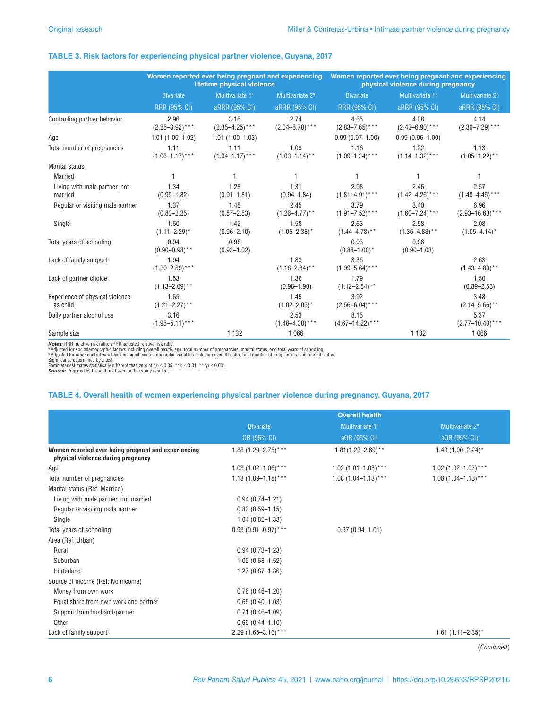#### **TABLE 3. Risk factors for experiencing physical partner violence, Guyana, 2017**

|                                             | Women reported ever being pregnant and experiencing<br>lifetime physical violence |                             | Women reported ever being pregnant and experiencing<br>physical violence during pregnancy |                              |                             |                              |
|---------------------------------------------|-----------------------------------------------------------------------------------|-----------------------------|-------------------------------------------------------------------------------------------|------------------------------|-----------------------------|------------------------------|
|                                             | <b>Bivariate</b>                                                                  | Multivariate 1 <sup>a</sup> | Multivariate 2 <sup>b</sup>                                                               | <b>Bivariate</b>             | Multivariate 1 <sup>a</sup> | Multivariate 2 <sup>b</sup>  |
|                                             | RRR (95% CI)                                                                      | aRRR (95% CI)               | aRRR (95% CI)                                                                             | <b>RRR (95% CI)</b>          | aRRR (95% CI)               | aRRR (95% CI)                |
| Controlling partner behavior                | 2.96<br>$(2.25 - 3.92)$ ***                                                       | 3.16<br>$(2.35 - 4.25)$ *** | 2.74<br>$(2.04 - 3.70)$ ***                                                               | 4.65<br>$(2.83 - 7.65)$ ***  | 4.08<br>$(2.42 - 6.90)$ *** | 4.14<br>$(2.36 - 7.29)$ ***  |
| Age                                         | $1.01(1.00 - 1.02)$                                                               | $1.01(1.00 - 1.03)$         |                                                                                           | $0.99(0.97 - 1.00)$          | $0.99(0.96 - 1.00)$         |                              |
| Total number of pregnancies                 | 1.11<br>$(1.06 - 1.17)$ ***                                                       | 1.11<br>$(1.04 - 1.17)$ *** | 1.09<br>$(1.03 - 1.14)$ **                                                                | 1.16<br>$(1.09 - 1.24)$ ***  | 1.22<br>$(1.14 - 1.32)$ *** | 1.13<br>$(1.05 - 1.22)$ **   |
| <b>Marital status</b>                       |                                                                                   |                             |                                                                                           |                              |                             |                              |
| Married                                     |                                                                                   |                             |                                                                                           |                              |                             |                              |
| Living with male partner, not<br>married    | 1.34<br>$(0.99 - 1.82)$                                                           | 1.28<br>$(0.91 - 1.81)$     | 1.31<br>$(0.94 - 1.84)$                                                                   | 2.98<br>$(1.81 - 4.91)$ ***  | 2.46<br>$(1.42 - 4.26)$ *** | 2.57<br>$(1.48 - 4.45)$ ***  |
| Regular or visiting male partner            | 1.37<br>$(0.83 - 2.25)$                                                           | 1.48<br>$(0.87 - 2.53)$     | 2.45<br>$(1.26 - 4.77)$ **                                                                | 3.79<br>$(1.91 - 7.52)$ ***  | 3.40<br>$(1.60 - 7.24)$ *** | 6.96<br>$(2.93 - 16.63)$ *** |
| Single                                      | 1.60<br>$(1.11 - 2.29)^*$                                                         | 1.42<br>$(0.96 - 2.10)$     | 1.58<br>$(1.05 - 2.38)^*$                                                                 | 2.63<br>$(1.44 - 4.78)$ **   | 2.58<br>$(1.36 - 4.88)$ **  | 2.08<br>$(1.05 - 4.14)^*$    |
| Total years of schooling                    | 0.94<br>$(0.90 - 0.98)^{**}$                                                      | 0.98<br>$(0.93 - 1.02)$     |                                                                                           | 0.93<br>$(0.88 - 1.00)^*$    | 0.96<br>$(0.90 - 1.03)$     |                              |
| Lack of family support                      | 1.94<br>$(1.30 - 2.89)$ ***                                                       |                             | 1.83<br>$(1.18 - 2.84)$ **                                                                | 3.35<br>$(1.99 - 5.64)$ ***  |                             | 2.63<br>$(1.43 - 4.83)$ **   |
| Lack of partner choice                      | 1.53<br>$(1.13 - 2.09)$ **                                                        |                             | 1.36<br>$(0.98 - 1.90)$                                                                   | 1.79<br>$(1.12 - 2.84)$ **   |                             | 1.50<br>$(0.89 - 2.53)$      |
| Experience of physical violence<br>as child | 1.65<br>$(1.21 - 2.27)$ **                                                        |                             | 1.45<br>$(1.02 - 2.05)^*$                                                                 | 3.92<br>$(2.56 - 6.04)$ ***  |                             | 3.48<br>$(2.14 - 5.66)$ **   |
| Daily partner alcohol use                   | 3.16<br>$(1.95 - 5.11)^{***}$                                                     |                             | 2.53<br>$(1.48 - 4.30)$ ***                                                               | 8.15<br>$(4.67 - 14.22)$ *** |                             | 5.37<br>$(2.77 - 10.40)$ *** |
| Sample size                                 |                                                                                   | 1 1 3 2                     | 1 0 6 6                                                                                   |                              | 1 1 3 2                     | 1 0 6 6                      |

**Notes:** RRR, relative risk ratio; aRRR adjusted relative risk ratio.<br>• Adjusted for sociodemographic factors including overall health, age, total number of pregnancies, marital status, and total years of schooling.<br>• Adju

Significance determined by z-test.<br>Parameter estimates statistically different than zero at \**p* ≤ 0.05, \*\**p* ≤ 0.01, \*\*\**p* ≤ 0.001.<br>**Source**: Prepared by the authors based on the study results.

#### **TABLE 4. Overall health of women experiencing physical partner violence during pregnancy, Guyana, 2017**

|                                                                                           | <b>Overall health</b>   |                             |                             |  |
|-------------------------------------------------------------------------------------------|-------------------------|-----------------------------|-----------------------------|--|
|                                                                                           | <b>Bivariate</b>        | Multivariate 1 <sup>a</sup> | Multivariate 2 <sup>b</sup> |  |
|                                                                                           | OR (95% CI)             | a0R (95% CI)                | a0R (95% CI)                |  |
| Women reported ever being pregnant and experiencing<br>physical violence during pregnancy | $1.88(1.29 - 2.75)$ *** | $1.81(1.23 - 2.69)$ **      | $1.49(1.00 - 2.24)^*$       |  |
| Age                                                                                       | $1.03(1.02 - 1.06)$ *** | $1.02$ (1.01-1.03)***       | $1.02$ (1.02-1.03)***       |  |
| Total number of pregnancies                                                               | $1.13(1.09 - 1.18)$ *** | $1.08(1.04 - 1.13)$ ***     | $1.08(1.04 - 1.13)$ ***     |  |
| Marital status (Ref: Married)                                                             |                         |                             |                             |  |
| Living with male partner, not married                                                     | $0.94(0.74 - 1.21)$     |                             |                             |  |
| Regular or visiting male partner                                                          | $0.83(0.59 - 1.15)$     |                             |                             |  |
| Single                                                                                    | $1.04(0.82 - 1.33)$     |                             |                             |  |
| Total years of schooling                                                                  | $0.93(0.91 - 0.97)$ *** | $0.97(0.94 - 1.01)$         |                             |  |
| Area (Ref: Urban)                                                                         |                         |                             |                             |  |
| Rural                                                                                     | $0.94(0.73 - 1.23)$     |                             |                             |  |
| Suburban                                                                                  | $1.02(0.68 - 1.52)$     |                             |                             |  |
| Hinterland                                                                                | $1.27(0.87 - 1.86)$     |                             |                             |  |
| Source of income (Ref: No income)                                                         |                         |                             |                             |  |
| Money from own work                                                                       | $0.76(0.48 - 1.20)$     |                             |                             |  |
| Equal share from own work and partner                                                     | $0.65(0.40-1.03)$       |                             |                             |  |
| Support from husband/partner                                                              | $0.71(0.46 - 1.09)$     |                             |                             |  |
| Other                                                                                     | $0.69(0.44 - 1.10)$     |                             |                             |  |
| Lack of family support                                                                    | $2.29(1.65 - 3.16)$ *** |                             | $1.61 (1.11 - 2.35)^*$      |  |

(*Continued*)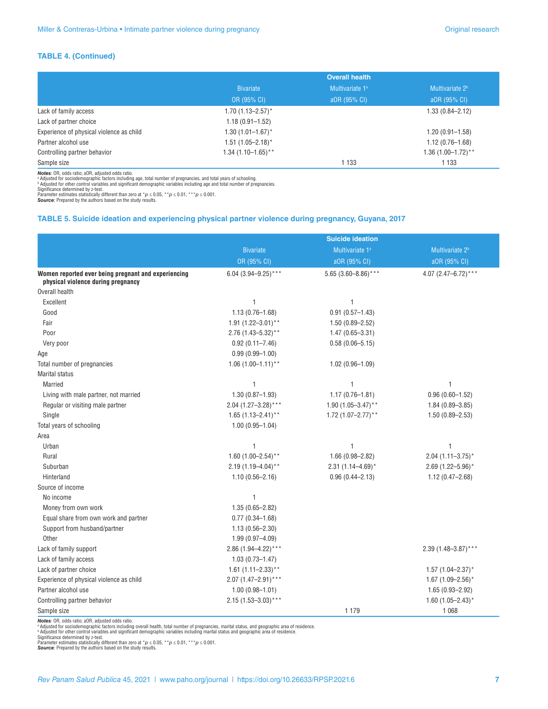#### **TABLE 4. (Continued)**

|                                          | <b>Overall health</b>           |                             |                             |
|------------------------------------------|---------------------------------|-----------------------------|-----------------------------|
|                                          | <b>Bivariate</b>                | Multivariate 1 <sup>a</sup> | Multivariate 2 <sup>b</sup> |
|                                          | OR (95% CI)                     | aOR (95% CI)                | aOR (95% CI)                |
| Lack of family access                    | $1.70(1.13 - 2.57)^*$           |                             | $1.33(0.84 - 2.12)$         |
| Lack of partner choice                   | $1.18(0.91 - 1.52)$             |                             |                             |
| Experience of physical violence as child | $1.30(1.01 - 1.67)^{*}$         |                             | $1.20(0.91 - 1.58)$         |
| Partner alcohol use                      | $1.51(1.05 - 2.18)^*$           |                             | $1.12(0.76 - 1.68)$         |
| Controlling partner behavior             | $1.34(1.10-1.65)$ <sup>**</sup> |                             | $1.36(1.00-1.72)$ **        |
| Sample size                              |                                 | 1 1 3 3                     | 1 1 3 3                     |

**Notes:** OR, odds ratio; aOR, adjusted odds ratio.<br>• Adjusted for sociodernographic factors including age, total number of pregnancies, and total years of schooling.<br>• Adjusted for other control variables and significant

#### **TABLE 5. Suicide ideation and experiencing physical partner violence during pregnancy, Guyana, 2017**

|                                                                                           | <b>Suicide ideation</b>  |                         |                             |  |
|-------------------------------------------------------------------------------------------|--------------------------|-------------------------|-----------------------------|--|
|                                                                                           | <b>Bivariate</b>         | Multivariate 1ª         | Multivariate 2 <sup>b</sup> |  |
|                                                                                           | OR (95% CI)              | aOR (95% CI)            | aOR (95% CI)                |  |
| Women reported ever being pregnant and experiencing<br>physical violence during pregnancy | 6.04 (3.94-9.25)***      | 5.65 (3.60-8.86)***     | 4.07 (2.47-6.72)***         |  |
| Overall health                                                                            |                          |                         |                             |  |
| Excellent                                                                                 | 1                        | 1                       |                             |  |
| Good                                                                                      | $1.13(0.76 - 1.68)$      | $0.91(0.57 - 1.43)$     |                             |  |
| Fair                                                                                      | 1.91 $(1.22 - 3.01)^*$   | $1.50(0.89 - 2.52)$     |                             |  |
| Poor                                                                                      | $2.76$ (1.43-5.32)**     | $1.47(0.65 - 3.31)$     |                             |  |
| Very poor                                                                                 | $0.92(0.11 - 7.46)$      | $0.58(0.06 - 5.15)$     |                             |  |
| Age                                                                                       | $0.99(0.99 - 1.00)$      |                         |                             |  |
| Total number of pregnancies                                                               | $1.06(1.00-1.11)^{**}$   | $1.02(0.96 - 1.09)$     |                             |  |
| <b>Marital status</b>                                                                     |                          |                         |                             |  |
| Married                                                                                   | $\mathbf{1}$             | 1                       | 1                           |  |
| Living with male partner, not married                                                     | $1.30(0.87 - 1.93)$      | $1.17(0.76 - 1.81)$     | $0.96(0.60 - 1.52)$         |  |
| Regular or visiting male partner                                                          | $2.04$ (1.27-3.28)***    | 1.90 $(1.05 - 3.47)$ ** | $1.84(0.89 - 3.85)$         |  |
| Single                                                                                    | 1.65 $(1.13 - 2.41)^*$   | 1.72 $(1.07 - 2.77)$ ** | $1.50(0.89 - 2.53)$         |  |
| Total years of schooling                                                                  | $1.00(0.95 - 1.04)$      |                         |                             |  |
| Area                                                                                      |                          |                         |                             |  |
| Urban                                                                                     | $\mathbf{1}$             | 1                       | 1                           |  |
| Rural                                                                                     | 1.60 $(1.00-2.54)$ **    | $1.66(0.98 - 2.82)$     | $2.04(1.11 - 3.75)^*$       |  |
| Suburban                                                                                  | $2.19(1.19 - 4.04)$ **   | $2.31(1.14 - 4.69)^{*}$ | 2.69 $(1.22 - 5.96)^*$      |  |
| Hinterland                                                                                | $1.10(0.56 - 2.16)$      | $0.96(0.44 - 2.13)$     | $1.12(0.47 - 2.68)$         |  |
| Source of income                                                                          |                          |                         |                             |  |
| No income                                                                                 | $\mathbf{1}$             |                         |                             |  |
| Money from own work                                                                       | $1.35(0.65 - 2.82)$      |                         |                             |  |
| Equal share from own work and partner                                                     | $0.77(0.34 - 1.68)$      |                         |                             |  |
| Support from husband/partner                                                              | $1.13(0.56 - 2.30)$      |                         |                             |  |
| Other                                                                                     | $1.99(0.97 - 4.09)$      |                         |                             |  |
| Lack of family support                                                                    | 2.86 $(1.94 - 4.22)$ *** |                         | $2.39(1.48 - 3.87)$ ***     |  |
| Lack of family access                                                                     | $1.03(0.73 - 1.47)$      |                         |                             |  |
| Lack of partner choice                                                                    | 1.61 $(1.11 - 2.33)$ **  |                         | $1.57(1.04 - 2.37)^*$       |  |
| Experience of physical violence as child                                                  | $2.07(1.47 - 2.91)$ ***  |                         | 1.67 (1.09-2.56)*           |  |
| Partner alcohol use                                                                       | $1.00(0.98 - 1.01)$      |                         | $1.65(0.93 - 2.92)$         |  |
| Controlling partner behavior                                                              | $2.15(1.53 - 3.03)$ ***  |                         | 1.60 $(1.05 - 2.43)^*$      |  |
| Sample size                                                                               |                          | 1 1 7 9                 | 1 0 6 8                     |  |

**Notes:** OR, odds ratio; aOR, adjusted odds ratio.<br>\* Adjusted for sociodemographic factors including overall health, total number of pregnancies, marital status, and geographic area of residence.<br>\* Adjusted for ochodemogr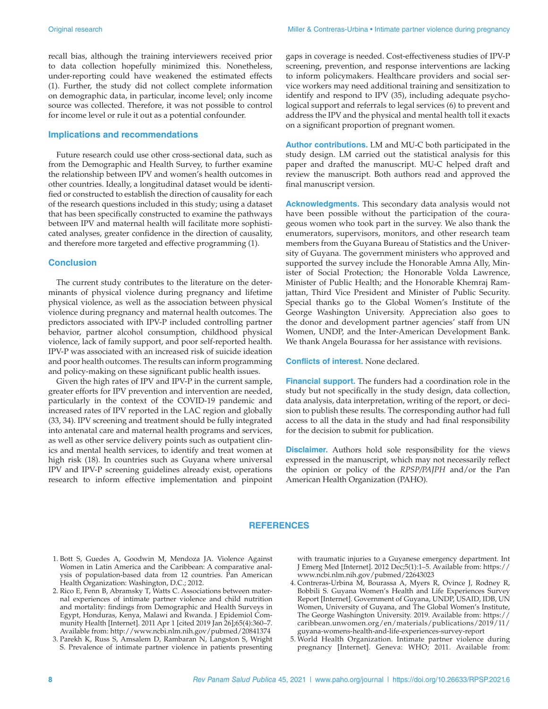recall bias, although the training interviewers received prior to data collection hopefully minimized this. Nonetheless, under-reporting could have weakened the estimated effects (1). Further, the study did not collect complete information on demographic data, in particular, income level; only income source was collected. Therefore, it was not possible to control for income level or rule it out as a potential confounder.

#### **Implications and recommendations**

Future research could use other cross-sectional data, such as from the Demographic and Health Survey, to further examine the relationship between IPV and women's health outcomes in other countries. Ideally, a longitudinal dataset would be identified or constructed to establish the direction of causality for each of the research questions included in this study; using a dataset that has been specifically constructed to examine the pathways between IPV and maternal health will facilitate more sophisticated analyses, greater confidence in the direction of causality, and therefore more targeted and effective programming (1).

#### **Conclusion**

The current study contributes to the literature on the determinants of physical violence during pregnancy and lifetime physical violence, as well as the association between physical violence during pregnancy and maternal health outcomes. The predictors associated with IPV-P included controlling partner behavior, partner alcohol consumption, childhood physical violence, lack of family support, and poor self-reported health. IPV-P was associated with an increased risk of suicide ideation and poor health outcomes. The results can inform programming and policy-making on these significant public health issues.

Given the high rates of IPV and IPV-P in the current sample, greater efforts for IPV prevention and intervention are needed, particularly in the context of the COVID-19 pandemic and increased rates of IPV reported in the LAC region and globally (33, 34). IPV screening and treatment should be fully integrated into antenatal care and maternal health programs and services, as well as other service delivery points such as outpatient clinics and mental health services, to identify and treat women at high risk (18). In countries such as Guyana where universal IPV and IPV-P screening guidelines already exist, operations research to inform effective implementation and pinpoint gaps in coverage is needed. Cost-effectiveness studies of IPV-P screening, prevention, and response interventions are lacking to inform policymakers. Healthcare providers and social service workers may need additional training and sensitization to identify and respond to IPV (35), including adequate psychological support and referrals to legal services (6) to prevent and address the IPV and the physical and mental health toll it exacts on a significant proportion of pregnant women.

**Author contributions.** LM and MU-C both participated in the study design. LM carried out the statistical analysis for this paper and drafted the manuscript. MU-C helped draft and review the manuscript. Both authors read and approved the final manuscript version.

**Acknowledgments.** This secondary data analysis would not have been possible without the participation of the courageous women who took part in the survey. We also thank the enumerators, supervisors, monitors, and other research team members from the Guyana Bureau of Statistics and the University of Guyana. The government ministers who approved and supported the survey include the Honorable Amna Ally, Minister of Social Protection; the Honorable Volda Lawrence, Minister of Public Health; and the Honorable Khemraj Ramjattan, Third Vice President and Minister of Public Security. Special thanks go to the Global Women's Institute of the George Washington University. Appreciation also goes to the donor and development partner agencies' staff from UN Women, UNDP, and the Inter-American Development Bank. We thank Angela Bourassa for her assistance with revisions.

**Conflicts of interest.** None declared.

**Financial support.** The funders had a coordination role in the study but not specifically in the study design, data collection, data analysis, data interpretation, writing of the report, or decision to publish these results. The corresponding author had full access to all the data in the study and had final responsibility for the decision to submit for publication.

**Disclaimer.** Authors hold sole responsibility for the views expressed in the manuscript, which may not necessarily reflect the opinion or policy of the *RPSP/PAJPH* and/or the Pan American Health Organization (PAHO).

#### **REFERENCES**

- 1. Bott S, Guedes A, Goodwin M, Mendoza JA. Violence Against Women in Latin America and the Caribbean: A comparative analysis of population-based data from 12 countries. Pan American Health Organization: Washington, D.C.; 2012.
- 2. Rico E, Fenn B, Abramsky T, Watts C. Associations between maternal experiences of intimate partner violence and child nutrition and mortality: findings from Demographic and Health Surveys in Egypt, Honduras, Kenya, Malawi and Rwanda. J Epidemiol Community Health [Internet]. 2011 Apr 1 [cited 2019 Jan 26];65(4):360–7. Available from:<http://www.ncbi.nlm.nih.gov/pubmed/20841374>
- 3. Parekh K, Russ S, Amsalem D, Rambaran N, Langston S, Wright S. Prevalence of intimate partner violence in patients presenting

with traumatic injuries to a Guyanese emergency department. Int J Emerg Med [Internet]. 2012 Dec;5(1):1–5. Available from: [https://](https://www.ncbi.nlm.nih.gov/pubmed/22643023) [www.ncbi.nlm.nih.gov/pubmed/22643023](https://www.ncbi.nlm.nih.gov/pubmed/22643023)

- 4. Contreras-Urbina M, Bourassa A, Myers R, Ovince J, Rodney R, Bobbili S. Guyana Women's Health and Life Experiences Survey Report [Internet]. Government of Guyana, UNDP, USAID, IDB, UN Women, University of Guyana, and The Global Women's Institute, The George Washington University. 2019. Available from: [https://](https://caribbean.unwomen.org/en/materials/publications/2019/11/guyana-womens-health-and-life-experiences-survey-report) [caribbean.unwomen.org/en/materials/publications/2019/11/](https://caribbean.unwomen.org/en/materials/publications/2019/11/guyana-womens-health-and-life-experiences-survey-report) [guyana-womens-health-and-life-experiences-survey-report](https://caribbean.unwomen.org/en/materials/publications/2019/11/guyana-womens-health-and-life-experiences-survey-report)
- 5. World Health Organization. Intimate partner violence during pregnancy [Internet]. Geneva: WHO; 2011. Available from: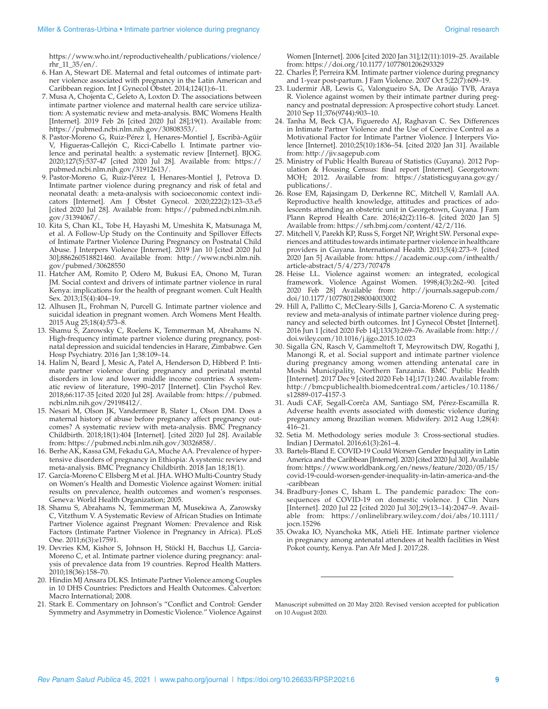[https://www.who.int/reproductivehealth/publications/violence/](https://www.who.int/reproductivehealth/publications/violence/rhr
_11_35/en/) [rhr\\_11\\_35/en/.](https://www.who.int/reproductivehealth/publications/violence/rhr
_11_35/en/)

- 6. Han A, Stewart DE. Maternal and fetal outcomes of intimate partner violence associated with pregnancy in the Latin American and Caribbean region. Int J Gynecol Obstet. 2014;124(1):6–11.
- 7. Musa A, Chojenta C, Geleto A, Loxton D. The associations between intimate partner violence and maternal health care service utilization: A systematic review and meta-analysis. BMC Womens Health [Internet]. 2019 Feb 26 [cited 2020 Jul 28];19(1). Available from: <https://pubmed.ncbi.nlm.nih.gov/30808353>/.
- 8. Pastor-Moreno G, Ruiz-Pérez I, Henares-Montiel J, Escribà-Agüir V, Higueras-Callejón C, Ricci-Cabello I. Intimate partner violence and perinatal health: a systematic review [Internet]. BJOG. 2020;127(5):537-47 [cited 2020 Jul 28]. Available from: [https://](https://pubmed.ncbi.nlm.nih.gov/31912613) [pubmed.ncbi.nlm.nih.gov/31912613/](https://pubmed.ncbi.nlm.nih.gov/31912613).
- 9. Pastor-Moreno G, Ruiz-Pérez I, Henares-Montiel J, Petrova D. Intimate partner violence during pregnancy and risk of fetal and neonatal death: a meta-analysis with socioeconomic context indicators [Internet]. Am J Obstet Gynecol. 2020;222(2):123–33.e5 [cited 2020 Jul 28]. Available from: [https://pubmed.ncbi.nlm.nih.](https://pubmed.ncbi.nlm.nih.gov/31394067) [gov/31394067/](https://pubmed.ncbi.nlm.nih.gov/31394067).
- 10. Kita S, Chan KL, Tobe H, Hayashi M, Umeshita K, Matsunaga M, et al. A Follow-Up Study on the Continuity and Spillover Effects of Intimate Partner Violence During Pregnancy on Postnatal Child Abuse. J Interpers Violence [Internet]. 2019 Jan 10 [cited 2020 Jul 30];886260518821460. Available from: [http://www.ncbi.nlm.nih.](http://www.ncbi.nlm.nih.gov/pubmed/30628550) [gov/pubmed/30628550](http://www.ncbi.nlm.nih.gov/pubmed/30628550)
- 11. Hatcher AM, Romito P, Odero M, Bukusi EA, Onono M, Turan JM. Social context and drivers of intimate partner violence in rural Kenya: implications for the health of pregnant women. Cult Health Sex. 2013;15(4):404–19.
- 12. Alhusen JL, Frohman N, Purcell G. Intimate partner violence and suicidal ideation in pregnant women. Arch Womens Ment Health. 2015 Aug 25;18(4):573–8.
- 13. Shamu S, Zarowsky C, Roelens K, Temmerman M, Abrahams N. High-frequency intimate partner violence during pregnancy, postnatal depression and suicidal tendencies in Harare, Zimbabwe. Gen Hosp Psychiatry. 2016 Jan 1;38:109–14.
- 14. Halim N, Beard J, Mesic A, Patel A, Henderson D, Hibberd P. Intimate partner violence during pregnancy and perinatal mental disorders in low and lower middle income countries: A systematic review of literature, 1990–2017 [Internet]. Clin Psychol Rev. 2018;66:117-35 [cited 2020 Jul 28]. Available from: [https://pubmed.](https://pubmed.ncbi.nlm.nih.gov/29198412/) [ncbi.nlm.nih.gov/29198412/.](https://pubmed.ncbi.nlm.nih.gov/29198412/)
- 15. Nesari M, Olson JK, Vandermeer B, Slater L, Olson DM. Does a maternal history of abuse before pregnancy affect pregnancy outcomes? A systematic review with meta-analysis. BMC Pregnancy Childbirth. 2018;18(1):404 [Internet]. [cited 2020 Jul 28]. Available from: [https://pubmed.ncbi.nlm.nih.gov/30326858/](https://pubmed.ncbi.nlm.nih.gov/30326858).
- 16. Berhe AK, Kassa GM, Fekadu GA, Muche AA. Prevalence of hypertensive disorders of pregnancy in Ethiopia: A systemic review and meta-analysis. BMC Pregnancy Childbirth. 2018 Jan 18;18(1).
- 17. García-Moreno C Ellsberg M et al. JHA. WHO Multi-Country Study on Women's Health and Domestic Violence against Women: initial results on prevalence, health outcomes and women's responses. Geneva: World Health Organization; 2005.
- 18. Shamu S, Abrahams N, Temmerman M, Musekiwa A, Zarowsky C, Vitzthum V. A Systematic Review of African Studies on Intimate Partner Violence against Pregnant Women: Prevalence and Risk Factors (Intimate Partner Violence in Pregnancy in Africa). PLoS One. 2011;6(3):e17591.
- 19. Devries KM, Kishor S, Johnson H, Stöckl H, Bacchus LJ, Garcia-Moreno C, et al. Intimate partner violence during pregnancy: analysis of prevalence data from 19 countries. Reprod Health Matters. 2010;18(36):158–70.
- 20. Hindin MJ Ansara DL KS. Intimate Partner Violence among Couples in 10 DHS Countries: Predictors and Health Outcomes. Calverton: Macro International; 2008.
- 21. Stark E. Commentary on Johnson's "Conflict and Control: Gender Symmetry and Asymmetry in Domestic Violence." Violence Against

Women [Internet]. 2006 [cited 2020 Jan 31];12(11):1019–25. Available from: <https://doi.org/10.1177/1077801206293329>

- 22. Charles P, Perreira KM. Intimate partner violence during pregnancy and 1-year post-partum. J Fam Violence. 2007 Oct 5;22(7):609–19.
- 23. Ludermir AB, Lewis G, Valongueiro SA, De Araújo TVB, Araya R. Violence against women by their intimate partner during pregnancy and postnatal depression: A prospective cohort study. Lancet. 2010 Sep 11;376(9744):903–10.
- 24. Tanha M, Beck CJA, Figueredo AJ, Raghavan C. Sex Differences in Intimate Partner Violence and the Use of Coercive Control as a Motivational Factor for Intimate Partner Violence. J Interpers Violence [Internet]. 2010;25(10):1836–54. [cited 2020 Jan 31]. Available from: <http://jiv.sagepub.com>
- 25. Ministry of Public Health Bureau of Statistics (Guyana). 2012 Population & Housing Census: final report [Internet]. Georgetown: MOH; 2012. Available from: [https://statisticsguyana.gov.gy/](https://statisticsguyana.gov.gy/publications/) [publications/.](https://statisticsguyana.gov.gy/publications/)
- 26. Rose EM, Rajasingam D, Derkenne RC, Mitchell V, Ramlall AA. Reproductive health knowledge, attitudes and practices of adolescents attending an obstetric unit in Georgetown, Guyana. J Fam Plann Reprod Health Care. 2016;42(2):116–8. [cited 2020 Jan 5] Available from: https://srh.bmj.com/content/42/2/116.
- 27. Mitchell V, Parekh KP, Russ S, Forget NP, Wright SW. Personal experiences and attitudes towards intimate partner violence in healthcare providers in Guyana. International Health. 2013;5(4):273–9. [cited 2020 Jan 5] Available from: [https://academic.oup.com/inthealth/](https://academic.oup.com/inthealth/article-abstract/5/4/273/707478) [article-abstract/5/4/273/707478](https://academic.oup.com/inthealth/article-abstract/5/4/273/707478)
- 28. Heise LL. Violence against women: an integrated, ecological framework. Violence Against Women. 1998;4(3):262–90. [cited 2020 Feb 28] Available from: [http://journals.sagepub.com/](http://journals.sagepub.com/doi/10.1177/1077801298004003002) [doi/10.1177/1077801298004003002](http://journals.sagepub.com/doi/10.1177/1077801298004003002)
- 29. Hill A, Pallitto C, McCleary-Sills J, Garcia-Moreno C. A systematic review and meta-analysis of intimate partner violence during pregnancy and selected birth outcomes. Int J Gynecol Obstet [Internet]. 2016 Jun 1 [cited 2020 Feb 14];133(3):269–76. Available from: [http://](http://doi.wiley.com/10.1016/j.ijgo.2015.10.023) [doi.wiley.com/10.1016/j.ijgo.2015.10.023](http://doi.wiley.com/10.1016/j.ijgo.2015.10.023)
- 30. Sigalla GN, Rasch V, Gammeltoft T, Meyrowitsch DW, Rogathi J, Manongi R, et al. Social support and intimate partner violence during pregnancy among women attending antenatal care in Moshi Municipality, Northern Tanzania. BMC Public Health [Internet]. 2017 Dec 9 [cited 2020 Feb 14];17(1):240. Available from: [http://bmcpublichealth.biomedcentral.com/articles/10.1186/](http://bmcpublichealth.biomedcentral.com/articles/10.1186/s12889-017-4157-3) [s12889-017-4157-3](http://bmcpublichealth.biomedcentral.com/articles/10.1186/s12889-017-4157-3)
- 31. Audi CAF, Segall-Corrĉa AM, Santiago SM, Pérez-Escamilla R. Adverse health events associated with domestic violence during pregnancy among Brazilian women. Midwifery. 2012 Aug 1;28(4): 416–21.
- 32. Setia M. Methodology series module 3: Cross-sectional studies. Indian J Dermatol. 2016;61(3):261–4.
- 33. Bartels-Bland E. COVID-19 Could Worsen Gender Inequality in Latin America and the Caribbean [Internet]. 2020 [cited 2020 Jul 30]. Available from: [https://www.worldbank.org/en/news/feature/2020/05/15/](https://www.worldbank.org/en/news/feature/2020/05/15/covid-19-could-worsen-gender-inequality-in-latin-america-and-the-caribbean) [covid-19-could-worsen-gender-inequality-in-latin-america-and-the](https://www.worldbank.org/en/news/feature/2020/05/15/covid-19-could-worsen-gender-inequality-in-latin-america-and-the-caribbean) [-caribbean](https://www.worldbank.org/en/news/feature/2020/05/15/covid-19-could-worsen-gender-inequality-in-latin-america-and-the-caribbean)
- 34. Bradbury‐Jones C, Isham L. The pandemic paradox: The consequences of COVID‐19 on domestic violence. J Clin Nurs [Internet]. 2020 Jul 22 [cited 2020 Jul 30];29(13–14):2047–9. Available from: [https://onlinelibrary.wiley.com/doi/abs/10.1111/](https://onlinelibrary.wiley.com/doi/abs/10.1111/jocn.15296) [jocn.15296](https://onlinelibrary.wiley.com/doi/abs/10.1111/jocn.15296)
- 35. Owaka IO, Nyanchoka MK, Atieli HE. Intimate partner violence in pregnancy among antenatal attendees at health facilities in West Pokot county, Kenya. Pan Afr Med J. 2017;28.

Manuscript submitted on 20 May 2020. Revised version accepted for publication on 10 August 2020.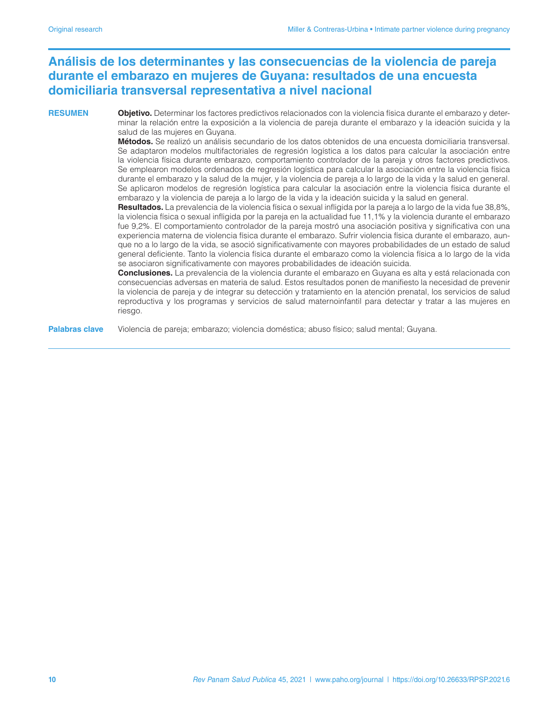# **Análisis de los determinantes y las consecuencias de la violencia de pareja durante el embarazo en mujeres de Guyana: resultados de una encuesta domiciliaria transversal representativa a nivel nacional**

**RESUMEN Objetivo.** Determinar los factores predictivos relacionados con la violencia física durante el embarazo y determinar la relación entre la exposición a la violencia de pareja durante el embarazo y la ideación suicida y la salud de las mujeres en Guyana.

**Métodos.** Se realizó un análisis secundario de los datos obtenidos de una encuesta domiciliaria transversal. Se adaptaron modelos multifactoriales de regresión logística a los datos para calcular la asociación entre la violencia física durante embarazo, comportamiento controlador de la pareja y otros factores predictivos. Se emplearon modelos ordenados de regresión logística para calcular la asociación entre la violencia física durante el embarazo y la salud de la mujer, y la violencia de pareja a lo largo de la vida y la salud en general. Se aplicaron modelos de regresión logística para calcular la asociación entre la violencia física durante el embarazo y la violencia de pareja a lo largo de la vida y la ideación suicida y la salud en general.

**Resultados.** La prevalencia de la violencia física o sexual infligida por la pareja a lo largo de la vida fue 38,8%, la violencia física o sexual infligida por la pareja en la actualidad fue 11,1% y la violencia durante el embarazo fue 9,2%. El comportamiento controlador de la pareja mostró una asociación positiva y significativa con una experiencia materna de violencia física durante el embarazo. Sufrir violencia física durante el embarazo, aunque no a lo largo de la vida, se asoció significativamente con mayores probabilidades de un estado de salud general deficiente. Tanto la violencia física durante el embarazo como la violencia física a lo largo de la vida se asociaron significativamente con mayores probabilidades de ideación suicida.

**Conclusiones.** La prevalencia de la violencia durante el embarazo en Guyana es alta y está relacionada con consecuencias adversas en materia de salud. Estos resultados ponen de manifiesto la necesidad de prevenir la violencia de pareja y de integrar su detección y tratamiento en la atención prenatal, los servicios de salud reproductiva y los programas y servicios de salud maternoinfantil para detectar y tratar a las mujeres en riesgo.

**Palabras clave** Violencia de pareja; embarazo; violencia doméstica; abuso físico; salud mental; Guyana.